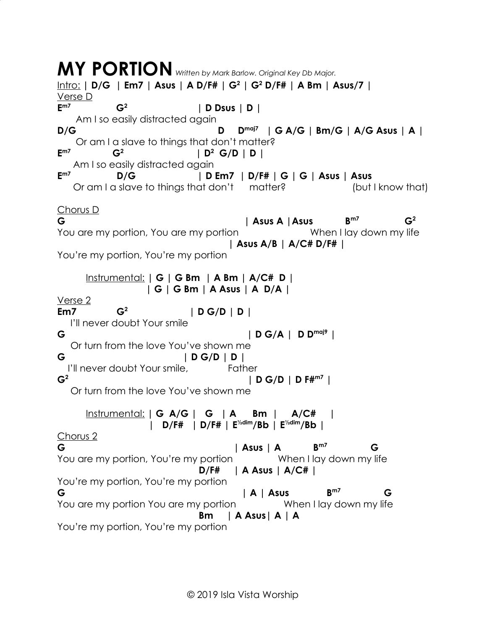**MY PORTION** *Written by Mark Barlow. Original Key Db Major.* Intro: **| D/G | Em7 | Asus | A D/F# | G<sup>2</sup> | G<sup>2</sup> D/F# | A Bm | Asus/7 |** Verse D **Em7 G<sup>2</sup> | D Dsus | D |** Am I so easily distracted again **D/G D Dmaj7 | G A/G | Bm/G | A/G Asus | A |** Or am I a slave to things that don't matter? **Em7 G<sup>2</sup> | D<sup>2</sup> G/D | D |** Am I so easily distracted again **Em7 D/G | D Em7 | D/F# | G | G | Asus | Asus** Or am I a slave to things that don't matter? (but I know that) Chorus D **G | Asus A |Asus Bm7**  $G<sup>2</sup>$ You are my portion, You are my portion The Music When I lay down my life  **| Asus A/B | A/C# D/F# |** You're my portion, You're my portion Instrumental: **| G | G Bm | A Bm | A/C# D | | G | G Bm | A Asus | A D/A |** Verse 2 **Em7 G<sup>2</sup> | D G/D | D |** I'll never doubt Your smile **G | D G/A | D Dmaj9 |** Or turn from the love You've shown me **G | D G/D | D |** I'll never doubt Your smile, Father **G<sup>2</sup> | D G/D | D F#m7 |** Or turn from the love You've shown me Instrumental: **| G A/G | G | A Bm | A/C# | | D/F# | D/F# | E½dim/Bb | E½dim/Bb |** Chorus 2 **G | Asus | A Bm7 G** You are my portion, You're my portion When I lay down my life  **D/F# | A Asus | A/C# |** You're my portion, You're my portion **G | A | Asus Bm7 G** You are my portion You are my portion When I lay down my life  **Bm | A Asus| A | A** You're my portion, You're my portion